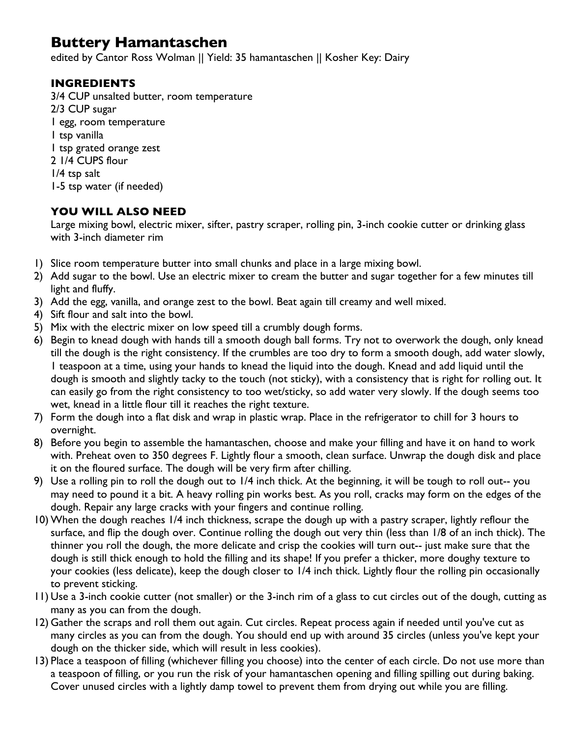## **Buttery Hamantaschen**

edited by Cantor Ross Wolman || Yield: 35 hamantaschen || Kosher Key: Dairy

## **INGREDIENTS**

3/4 CUP unsalted butter, room temperature 2/3 CUP sugar 1 egg, room temperature 1 tsp vanilla 1 tsp grated orange zest 2 1/4 CUPS flour 1/4 tsp salt 1-5 tsp water (if needed)

## **YOU WILL ALSO NEED**

Large mixing bowl, electric mixer, sifter, pastry scraper, rolling pin, 3-inch cookie cutter or drinking glass with 3-inch diameter rim

- 1) Slice room temperature butter into small chunks and place in a large mixing bowl.
- 2) Add sugar to the bowl. Use an electric mixer to cream the butter and sugar together for a few minutes till light and fluffy.
- 3) Add the egg, vanilla, and orange zest to the bowl. Beat again till creamy and well mixed.
- 4) Sift flour and salt into the bowl.
- 5) Mix with the electric mixer on low speed till a crumbly dough forms.
- 6) Begin to knead dough with hands till a smooth dough ball forms. Try not to overwork the dough, only knead till the dough is the right consistency. If the crumbles are too dry to form a smooth dough, add water slowly, 1 teaspoon at a time, using your hands to knead the liquid into the dough. Knead and add liquid until the dough is smooth and slightly tacky to the touch (not sticky), with a consistency that is right for rolling out. It can easily go from the right consistency to too wet/sticky, so add water very slowly. If the dough seems too wet, knead in a little flour till it reaches the right texture.
- 7) Form the dough into a flat disk and wrap in plastic wrap. Place in the refrigerator to chill for 3 hours to overnight.
- 8) Before you begin to assemble the hamantaschen, choose and make your filling and have it on hand to work with. Preheat oven to 350 degrees F. Lightly flour a smooth, clean surface. Unwrap the dough disk and place it on the floured surface. The dough will be very firm after chilling.
- 9) Use a rolling pin to roll the dough out to 1/4 inch thick. At the beginning, it will be tough to roll out-- you may need to pound it a bit. A heavy rolling pin works best. As you roll, cracks may form on the edges of the dough. Repair any large cracks with your fingers and continue rolling.
- 10) When the dough reaches 1/4 inch thickness, scrape the dough up with a pastry scraper, lightly reflour the surface, and flip the dough over. Continue rolling the dough out very thin (less than 1/8 of an inch thick). The thinner you roll the dough, the more delicate and crisp the cookies will turn out-- just make sure that the dough is still thick enough to hold the filling and its shape! If you prefer a thicker, more doughy texture to your cookies (less delicate), keep the dough closer to 1/4 inch thick. Lightly flour the rolling pin occasionally to prevent sticking.
- 11) Use a 3-inch cookie cutter (not smaller) or the 3-inch rim of a glass to cut circles out of the dough, cutting as many as you can from the dough.
- 12) Gather the scraps and roll them out again. Cut circles. Repeat process again if needed until you've cut as many circles as you can from the dough. You should end up with around 35 circles (unless you've kept your dough on the thicker side, which will result in less cookies).
- 13) Place a teaspoon of filling (whichever filling you choose) into the center of each circle. Do not use more than a teaspoon of filling, or you run the risk of your hamantaschen opening and filling spilling out during baking. Cover unused circles with a lightly damp towel to prevent them from drying out while you are filling.